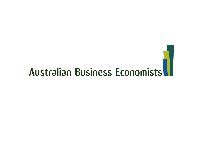## Australian Business Economists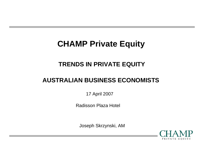### **CHAMP Private Equity**

#### **TRENDS IN PRIVATE EQUITY**

#### **AUSTRALIAN BUSINESS ECONOMISTS**

17 April 2007

Radisson Plaza Hotel

Joseph Skrzynski, AM

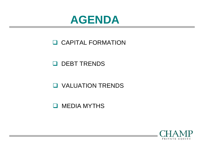

#### **Q CAPITAL FORMATION**

#### **Q** DEBT TRENDS

#### **Q VALUATION TRENDS**

#### **Q** MEDIA MYTHS

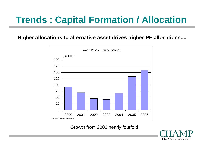#### **Higher allocations to alternative asset drives higher PE allocations....**



Growth from 2003 nearly fourfold

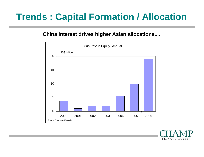#### **China interest drives higher Asian allocations....**



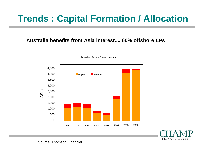#### **Australia benefits from Asia interest.... 60% offshore LPs**





Source: Thomson Financial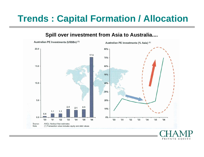#### **Spill over investment from Asia to Australia....**



PRIVATE EQUITY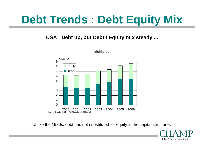### **Debt Trends : Debt Equity Mix**

#### **USA : Debt up, but Debt / Equity mix steady....**



Unlike the 1980s, debt has not substituted for equity in the capital structures

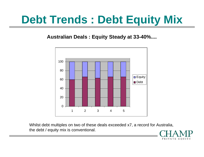### **Debt Trends : Debt Equity Mix**

**Australian Deals : Equity Steady at 33-40%....**



Whilst debt multiples on two of these deals exceeded x7, a record for Australia, the debt / equity mix is conventional.

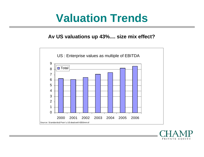### **Valuation Trends**

#### **Av US valuations up 43%.... size mix effect?**



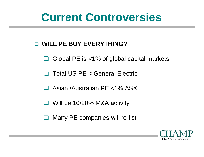### **Current Controversies**

#### $\Box$ **WILL PE BUY EVERYTHING?**

- ப Global PE is <1% of global capital markets
- $\Box$ Total US PE < General Electric
- 1 I Asian /Australian PE <1% ASX
- Ч Will be 10/20% M&A activity
- $\Box$ Many PE companies will re-list

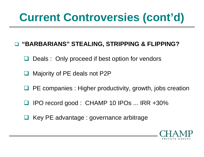### **Current Controversies (cont'd)**

#### $\Box$ **"BARBARIANS" STEALING, STRIPPING & FLIPPING?**

- $\Box$ Deals : Only proceed if best option for vendors
- Majority of PE deals not P2P
- $\Box$ PE companies : Higher productivity, growth, jobs creation
- $\Box$ IPO record good : CHAMP 10 IPOs ... IRR +30%
- $\Box$ Key PE advantage : governance arbitrage

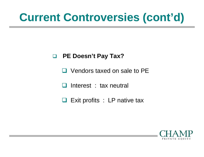### **Current Controversies (cont'd)**

#### $\Box$ **PE Doesn't Pay Tax?**

- □ Vendors taxed on sale to PE
- n li Interest : tax neutral
- □ Exit profits : LP native tax

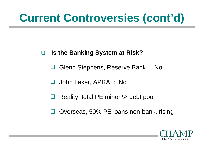### **Current Controversies (cont'd)**

#### $\Box$ **Is the Banking System at Risk?**

- $\Box$ Glenn Stephens, Reserve Bank : No
- **□** John Laker, APRA : No
- $\Box$ Reality, total PE minor % debt pool
- $\Box$ Overseas, 50% PE loans non-bank, rising

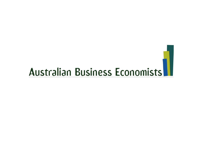## Australian Business Economists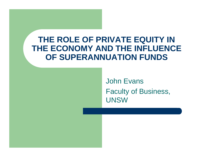### **THE ROLE OF PRIVATE EQUITY IN THE ECONOMY AND THE INFLUENCE OF SUPERANNUATION FUNDS**

John Evans Faculty of Business, **UNSW**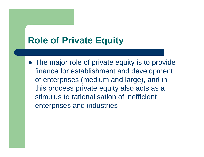### **Role of Private Equity**

• The major role of private equity is to provide finance for establishment and development of enterprises (medium and large), and in this process private equity also acts as a stimulus to rationalisation of inefficient enterprises and industries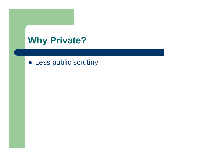### **Why Private?**

• Less public scrutiny.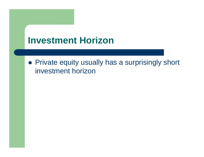### **Investment Horizon**

• Private equity usually has a surprisingly short investment horizon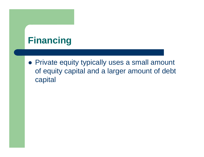### **Financing**

• Private equity typically uses a small amount of equity capital and a larger amount of debt capital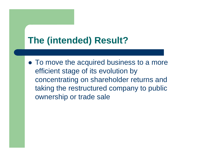### **The (intended) Result?**

• To move the acquired business to a more efficient stage of its evolution by concentrating on shareholder returns and taking the restructured company to public ownership or trade sale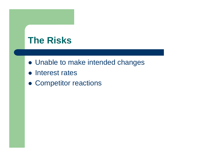### **The Risks**

- Unable to make intended changes
- Interest rates
- Competitor reactions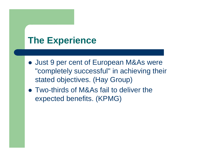### **The Experience**

- Just 9 per cent of European M&As were "completely successful" in achieving their stated objectives. (Hay Group)
- Two-thirds of M&As fail to deliver the expected benefits. (KPMG)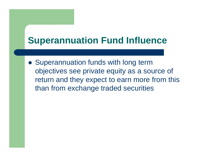### **Superannuation Fund Influence**

• Superannuation funds with long term objectives see private equity as a source of return and they expect to earn more from this than from exchange traded securities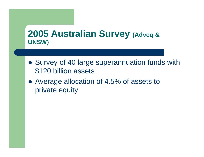### **2005 Australian Survey (Adveq & UNSW)**

- Survey of 40 large superannuation funds with \$120 billion assets
- Average allocation of 4.5% of assets to private equity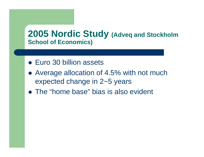#### **2005 Nordic Study (Adveq and Stockholm School of Economics)**

- Euro 30 billion assets
- Average allocation of 4.5% with not much expected change in 2~5 years
- The "home base" bias is also evident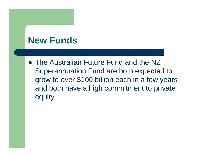### **New Funds**

• The Australian Future Fund and the NZ Superannuation Fund are both expected to grow to over \$100 billion each in a few years and both have a high commitment to private equity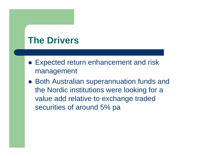### **The Drivers**

- Expected return enhancement and risk management
- Both Australian superannuation funds and the Nordic institutions were looking for a value add relative to exchange traded securities of around 5% pa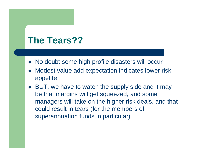### **The Tears??**

- No doubt some high profile disasters will occur
- $\bullet$  Modest value add expectation indicates lower risk appetite
- BUT, we have to watch the supply side and it may be that margins will get squeezed, and some managers will take on the higher risk deals, and that could result in tears (for the members of superannuation funds in particular)